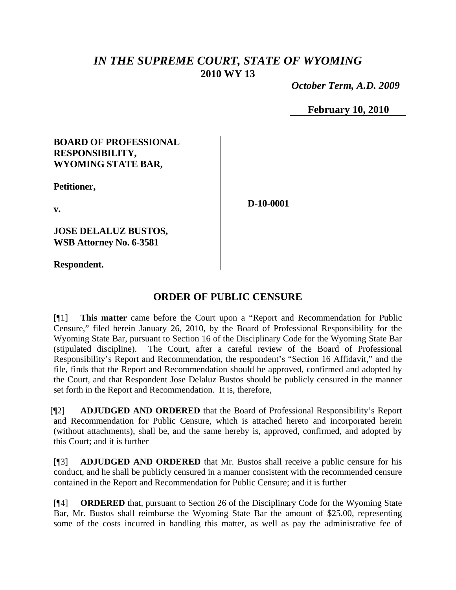## *IN THE SUPREME COURT, STATE OF WYOMING* **2010 WY 13**

 *October Term, A.D. 2009*

**February 10, 2010**

#### **BOARD OF PROFESSIONAL RESPONSIBILITY, WYOMING STATE BAR,**

**Petitioner,**

**v.**

**D-10-0001**

**JOSE DELALUZ BUSTOS, WSB Attorney No. 6-3581**

**Respondent.**

### **ORDER OF PUBLIC CENSURE**

[¶1] **This matter** came before the Court upon a "Report and Recommendation for Public Censure," filed herein January 26, 2010, by the Board of Professional Responsibility for the Wyoming State Bar, pursuant to Section 16 of the Disciplinary Code for the Wyoming State Bar (stipulated discipline). The Court, after a careful review of the Board of Professional Responsibility's Report and Recommendation, the respondent's "Section 16 Affidavit," and the file, finds that the Report and Recommendation should be approved, confirmed and adopted by the Court, and that Respondent Jose Delaluz Bustos should be publicly censured in the manner set forth in the Report and Recommendation. It is, therefore,

[¶2] **ADJUDGED AND ORDERED** that the Board of Professional Responsibility's Report and Recommendation for Public Censure, which is attached hereto and incorporated herein (without attachments), shall be, and the same hereby is, approved, confirmed, and adopted by this Court; and it is further

[¶3] **ADJUDGED AND ORDERED** that Mr. Bustos shall receive a public censure for his conduct, and he shall be publicly censured in a manner consistent with the recommended censure contained in the Report and Recommendation for Public Censure; and it is further

[¶4] **ORDERED** that, pursuant to Section 26 of the Disciplinary Code for the Wyoming State Bar, Mr. Bustos shall reimburse the Wyoming State Bar the amount of \$25.00, representing some of the costs incurred in handling this matter, as well as pay the administrative fee of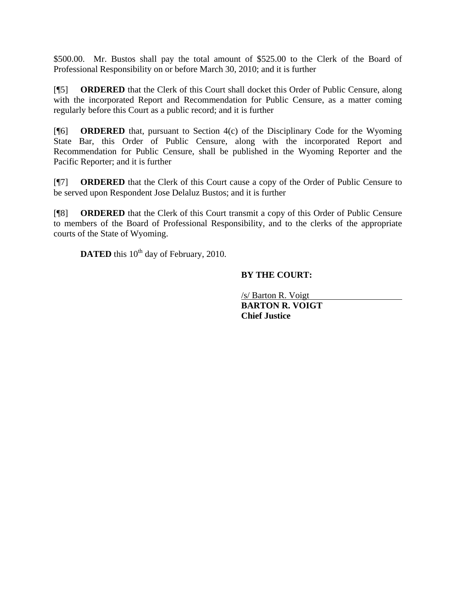\$500.00. Mr. Bustos shall pay the total amount of \$525.00 to the Clerk of the Board of Professional Responsibility on or before March 30, 2010; and it is further

[¶5] **ORDERED** that the Clerk of this Court shall docket this Order of Public Censure, along with the incorporated Report and Recommendation for Public Censure, as a matter coming regularly before this Court as a public record; and it is further

[¶6] **ORDERED** that, pursuant to Section 4(c) of the Disciplinary Code for the Wyoming State Bar, this Order of Public Censure, along with the incorporated Report and Recommendation for Public Censure, shall be published in the Wyoming Reporter and the Pacific Reporter; and it is further

[¶7] **ORDERED** that the Clerk of this Court cause a copy of the Order of Public Censure to be served upon Respondent Jose Delaluz Bustos; and it is further

[¶8] **ORDERED** that the Clerk of this Court transmit a copy of this Order of Public Censure to members of the Board of Professional Responsibility, and to the clerks of the appropriate courts of the State of Wyoming.

**DATED** this 10<sup>th</sup> day of February, 2010.

#### **BY THE COURT:**

**BARTON R. VOIGT** /s/ Barton R. Voigt **Chief Justice**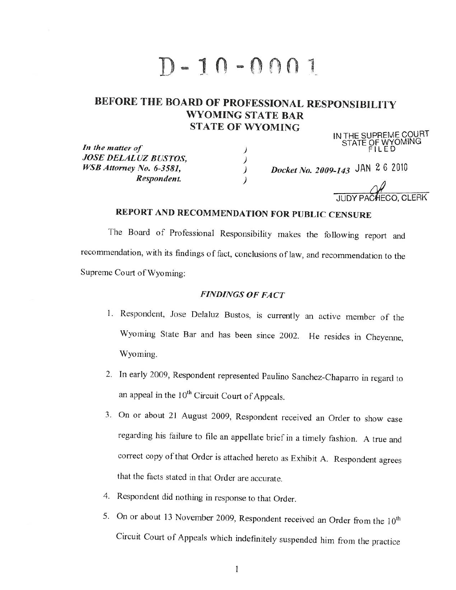# $D - 10 - 0001$

# BEFORE THE BOARD OF PROFESSIONAL RESPONSIBILITY WYOMING STATE BAR **STATE OF WYOMING** IN THE SUPREME COURT<br>STATE OF WYOMING<br>FILED

 $\prime$ 

 $\frac{1}{2}$ 

In the matter of **JOSE DELALUZ BUSTOS,** WSB Attorney No. 6-3581. Respondent.

Docket No. 2009-143 JAN 2 6 2010

## REPORT AND RECOMMENDATION FOR PUBLIC CENSURE

The Board of Professional Responsibility makes the following report and recommendation, with its findings of fact, conclusions of law, and recommendation to the Supreme Court of Wyoming:

#### **FINDINGS OF FACT**

- 1. Respondent, Jose Delaluz Bustos, is currently an active member of the Wyoming State Bar and has been since 2002. He resides in Cheyenne, Wyoming.
- 2. In early 2009, Respondent represented Paulino Sanchez-Chaparro in regard to an appeal in the 10<sup>th</sup> Circuit Court of Appeals.
- 3. On or about 21 August 2009, Respondent received an Order to show case regarding his failure to file an appellate brief in a timely fashion. A true and correct copy of that Order is attached hereto as Exhibit A. Respondent agrees that the facts stated in that Order are accurate.
- 4. Respondent did nothing in response to that Order.
- 5. On or about 13 November 2009, Respondent received an Order from the 10<sup>th</sup> Circuit Court of Appeals which indefinitely suspended him from the practice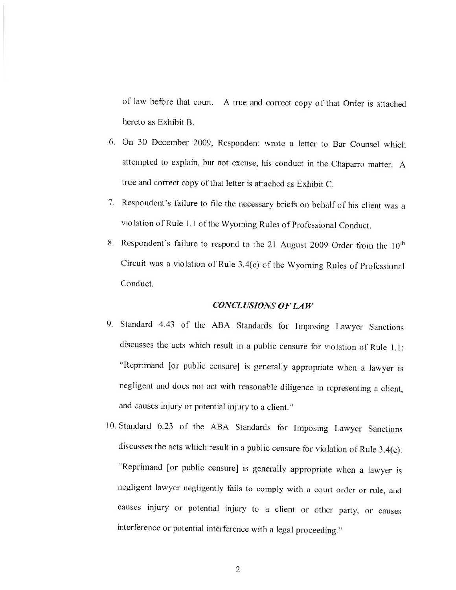of law before that court. A true and correct copy of that Order is attached hereto as Exhibit B.

- 6. On 30 December 2009, Respondent wrote a letter to Bar Counsel which attempted to explain, but not excuse, his conduct in the Chaparro matter. A true and correct copy of that letter is attached as Exhibit C.
- 7. Respondent's failure to file the necessary briefs on behalf of his client was a violation of Rule 1.1 of the Wyoming Rules of Professional Conduct.
- 8. Respondent's failure to respond to the 21 August 2009 Order from the 10<sup>th</sup> Circuit was a violation of Rule 3.4(c) of the Wyoming Rules of Professional Conduct.

#### **CONCLUSIONS OF LAW**

- 9. Standard 4.43 of the ABA Standards for Imposing Lawyer Sanctions discusses the acts which result in a public censure for violation of Rule 1.1: "Reprimand [or public censure] is generally appropriate when a lawyer is negligent and does not act with reasonable diligence in representing a client, and causes injury or potential injury to a client."
- 10. Standard 6.23 of the ABA Standards for Imposing Lawyer Sanctions discusses the acts which result in a public censure for violation of Rule  $3.4(c)$ : "Reprimand [or public censure] is generally appropriate when a lawyer is negligent lawyer negligently fails to comply with a court order or rule, and causes injury or potential injury to a client or other party, or causes interference or potential interference with a legal proceeding."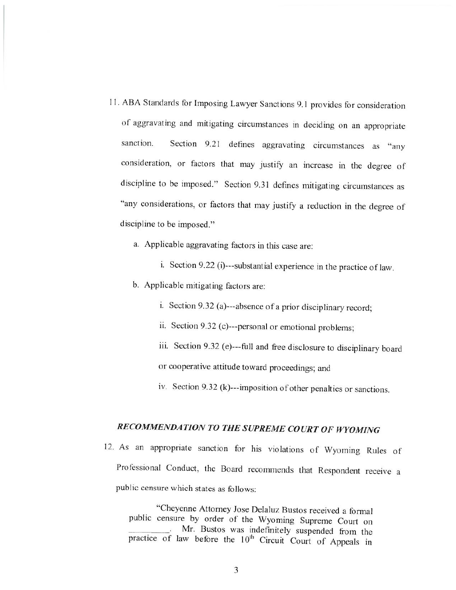- 11. ABA Standards for Imposing Lawyer Sanctions 9.1 provides for consideration of aggravating and mitigating circumstances in deciding on an appropriate Section 9.21 defines aggravating circumstances as "any sanction. consideration, or factors that may justify an increase in the degree of discipline to be imposed." Section 9.31 defines mitigating circumstances as "any considerations, or factors that may justify a reduction in the degree of discipline to be imposed."
	- a. Applicable aggravating factors in this case are:
		- i. Section 9.22 (i)---substantial experience in the practice of law.
	- b. Applicable mitigating factors are:
		- i. Section 9.32 (a)---absence of a prior disciplinary record;
		- ii. Section 9.32 (c)---personal or emotional problems;
		- iii. Section 9.32 (e)---full and free disclosure to disciplinary board
		- or cooperative attitude toward proceedings; and
		- iv. Section 9.32 (k)---imposition of other penalties or sanctions.

# RECOMMENDATION TO THE SUPREME COURT OF WYOMING

12. As an appropriate sanction for his violations of Wyoming Rules of Professional Conduct, the Board recommends that Respondent receive a public censure which states as follows:

"Cheyenne Attorney Jose Delaluz Bustos received a formal public censure by order of the Wyoming Supreme Court on Mr. Bustos was indefinitely suspended from the practice of law before the 10<sup>th</sup> Circuit Court of Appeals in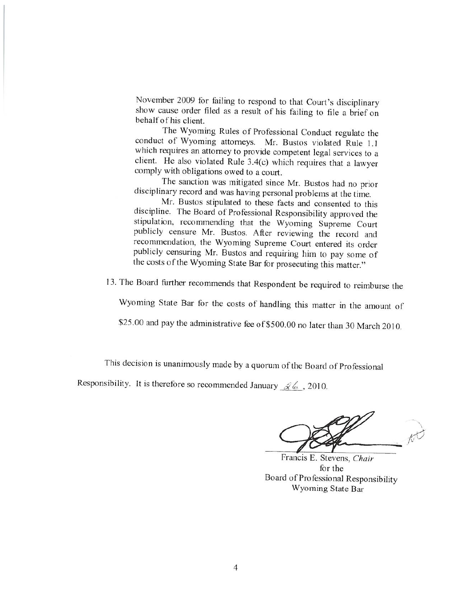November 2009 for failing to respond to that Court's disciplinary show cause order filed as a result of his failing to file a brief on behalf of his client.

The Wyoming Rules of Professional Conduct regulate the conduct of Wyoming attorneys. Mr. Bustos violated Rule 1.1 which requires an attorney to provide competent legal services to a client. He also violated Rule 3.4(c) which requires that a lawyer comply with obligations owed to a court.

The sanction was mitigated since Mr. Bustos had no prior disciplinary record and was having personal problems at the time.

Mr. Bustos stipulated to these facts and consented to this discipline. The Board of Professional Responsibility approved the stipulation, recommending that the Wyoming Supreme Court publicly censure Mr. Bustos. After reviewing the record and recommendation, the Wyoming Supreme Court entered its order publicly censuring Mr. Bustos and requiring him to pay some of the costs of the Wyoming State Bar for prosecuting this matter."

13. The Board further recommends that Respondent be required to reimburse the

Wyoming State Bar for the costs of handling this matter in the amount of

\$25.00 and pay the administrative fee of \$500.00 no later than 30 March 2010.

This decision is unanimously made by a quorum of the Board of Professional

Responsibility. It is therefore so recommended January  $\mathcal{L}$   $\mathcal{L}$ , 2010.

Francis E. Stevens, Chair for the Board of Professional Responsibility Wyoming State Bar